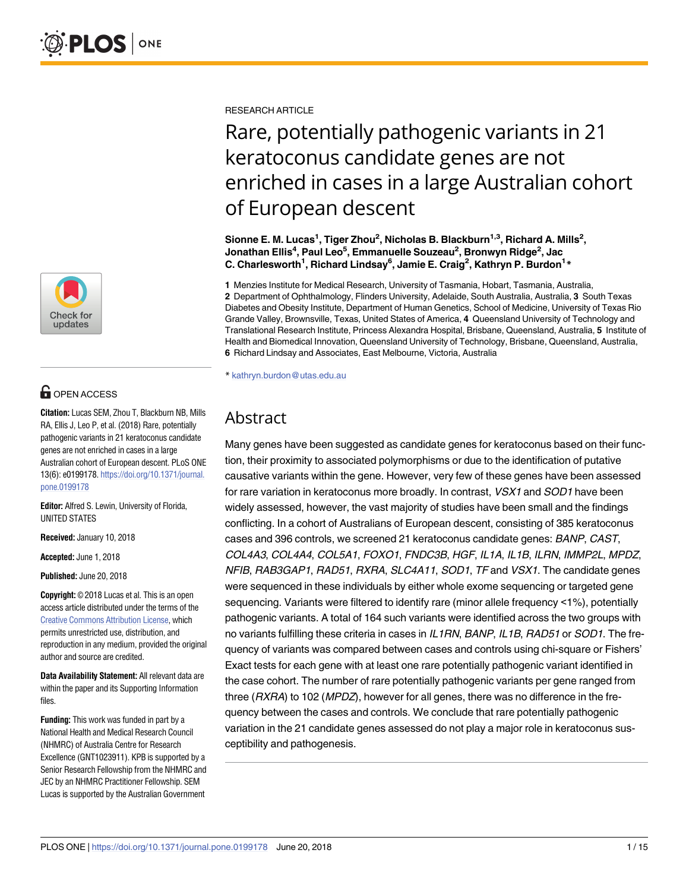

# **OPEN ACCESS**

**Citation:** Lucas SEM, Zhou T, Blackburn NB, Mills RA, Ellis J, Leo P, et al. (2018) Rare, potentially pathogenic variants in 21 keratoconus candidate genes are not enriched in cases in a large Australian cohort of European descent. PLoS ONE 13(6): e0199178. [https://doi.org/10.1371/journal.](https://doi.org/10.1371/journal.pone.0199178) [pone.0199178](https://doi.org/10.1371/journal.pone.0199178)

**Editor:** Alfred S. Lewin, University of Florida, UNITED STATES

**Received:** January 10, 2018

**Accepted:** June 1, 2018

**Published:** June 20, 2018

**Copyright:** © 2018 Lucas et al. This is an open access article distributed under the terms of the Creative Commons [Attribution](http://creativecommons.org/licenses/by/4.0/) License, which permits unrestricted use, distribution, and reproduction in any medium, provided the original author and source are credited.

**Data Availability Statement:** All relevant data are within the paper and its Supporting Information files.

**Funding:** This work was funded in part by a National Health and Medical Research Council (NHMRC) of Australia Centre for Research Excellence (GNT1023911). KPB is supported by a Senior Research Fellowship from the NHMRC and JEC by an NHMRC Practitioner Fellowship. SEM Lucas is supported by the Australian Government

RESEARCH ARTICLE

# Rare, potentially pathogenic variants in 21 keratoconus candidate genes are not enriched in cases in a large Australian cohort of European descent

 $\boldsymbol{\delta}$  Sionne E. M. Lucas<sup>1</sup>, Tiger Zhou<sup>2</sup>, Nicholas B. Blackburn<sup>1,3</sup>, Richard A. Mills<sup>2</sup>, **Jonathan Ellis4 , Paul Leo5 , Emmanuelle Souzeau2 , Bronwyn Ridge2 , Jac C. Charlesworth1 , Richard Lindsay6 , Jamie E. Craig2 , Kathryn P. Burdon1 \***

**1** Menzies Institute for Medical Research, University of Tasmania, Hobart, Tasmania, Australia, **2** Department of Ophthalmology, Flinders University, Adelaide, South Australia, Australia, **3** South Texas Diabetes and Obesity Institute, Department of Human Genetics, School of Medicine, University of Texas Rio Grande Valley, Brownsville, Texas, United States of America, **4** Queensland University of Technology and Translational Research Institute, Princess Alexandra Hospital, Brisbane, Queensland, Australia, **5** Institute of Health and Biomedical Innovation, Queensland University of Technology, Brisbane, Queensland, Australia, **6** Richard Lindsay and Associates, East Melbourne, Victoria, Australia

\* kathryn.burdon@utas.edu.au

## Abstract

Many genes have been suggested as candidate genes for keratoconus based on their function, their proximity to associated polymorphisms or due to the identification of putative causative variants within the gene. However, very few of these genes have been assessed for rare variation in keratoconus more broadly. In contrast, VSX1 and SOD1 have been widely assessed, however, the vast majority of studies have been small and the findings conflicting. In a cohort of Australians of European descent, consisting of 385 keratoconus cases and 396 controls, we screened 21 keratoconus candidate genes: BANP, CAST, COL4A3, COL4A4, COL5A1, FOXO1, FNDC3B, HGF, IL1A, IL1B, ILRN, IMMP2L, MPDZ, NFIB, RAB3GAP1, RAD51, RXRA, SLC4A11, SOD1, TF and VSX1. The candidate genes were sequenced in these individuals by either whole exome sequencing or targeted gene sequencing. Variants were filtered to identify rare (minor allele frequency <1%), potentially pathogenic variants. A total of 164 such variants were identified across the two groups with no variants fulfilling these criteria in cases in IL1RN, BANP, IL1B, RAD51 or SOD1. The frequency of variants was compared between cases and controls using chi-square or Fishers' Exact tests for each gene with at least one rare potentially pathogenic variant identified in the case cohort. The number of rare potentially pathogenic variants per gene ranged from three ( $RXRA$ ) to 102 ( $MPDZ$ ), however for all genes, there was no difference in the frequency between the cases and controls. We conclude that rare potentially pathogenic variation in the 21 candidate genes assessed do not play a major role in keratoconus susceptibility and pathogenesis.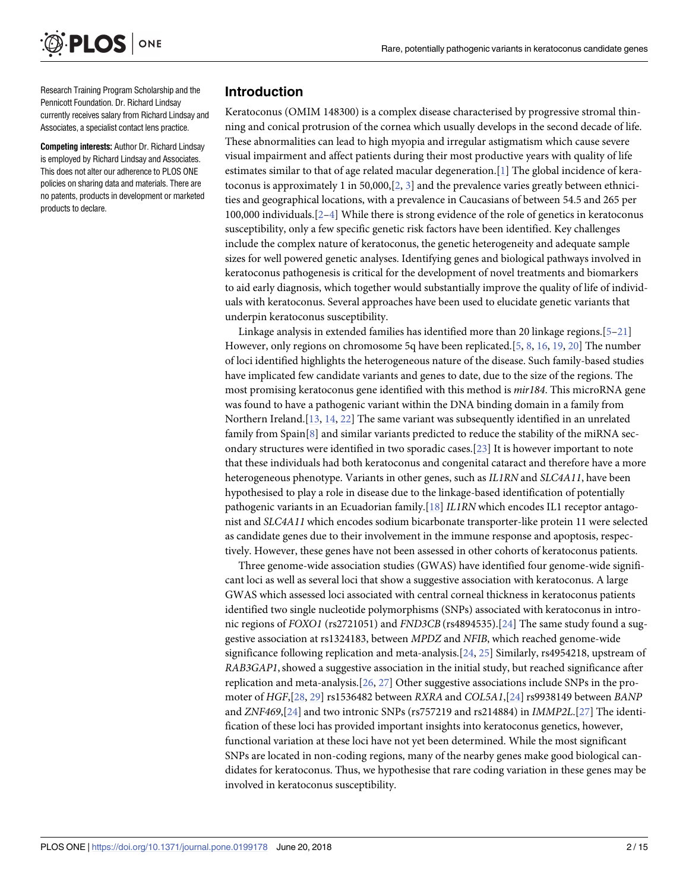<span id="page-1-0"></span>

Research Training Program Scholarship and the Pennicott Foundation. Dr. Richard Lindsay currently receives salary from Richard Lindsay and Associates, a specialist contact lens practice.

**Competing interests:** Author Dr. Richard Lindsay is employed by Richard Lindsay and Associates. This does not alter our adherence to PLOS ONE policies on sharing data and materials. There are no patents, products in development or marketed products to declare.

#### **Introduction**

Keratoconus (OMIM 148300) is a complex disease characterised by progressive stromal thinning and conical protrusion of the cornea which usually develops in the second decade of life. These abnormalities can lead to high myopia and irregular astigmatism which cause severe visual impairment and affect patients during their most productive years with quality of life estimates similar to that of age related macular degeneration.[[1\]](#page-9-0) The global incidence of keratoconus is approximately 1 in 50,000,[\[2,](#page-9-0) [3](#page-9-0)] and the prevalence varies greatly between ethnicities and geographical locations, with a prevalence in Caucasians of between 54.5 and 265 per 100,000 individuals.[[2–4\]](#page-9-0) While there is strong evidence of the role of genetics in keratoconus susceptibility, only a few specific genetic risk factors have been identified. Key challenges include the complex nature of keratoconus, the genetic heterogeneity and adequate sample sizes for well powered genetic analyses. Identifying genes and biological pathways involved in keratoconus pathogenesis is critical for the development of novel treatments and biomarkers to aid early diagnosis, which together would substantially improve the quality of life of individuals with keratoconus. Several approaches have been used to elucidate genetic variants that underpin keratoconus susceptibility.

Linkage analysis in extended families has identified more than 20 linkage regions.[[5–](#page-9-0)[21](#page-10-0)] However, only regions on chromosome 5q have been replicated.[[5](#page-9-0), [8,](#page-9-0) [16,](#page-10-0) [19,](#page-10-0) [20](#page-10-0)] The number of loci identified highlights the heterogeneous nature of the disease. Such family-based studies have implicated few candidate variants and genes to date, due to the size of the regions. The most promising keratoconus gene identified with this method is *mir184*. This microRNA gene was found to have a pathogenic variant within the DNA binding domain in a family from Northern Ireland.[[13](#page-10-0), [14](#page-10-0), [22](#page-10-0)] The same variant was subsequently identified in an unrelated family from  $Spin[8]$  $Spin[8]$  and similar variants predicted to reduce the stability of the miRNA secondary structures were identified in two sporadic cases.[[23](#page-10-0)] It is however important to note that these individuals had both keratoconus and congenital cataract and therefore have a more heterogeneous phenotype. Variants in other genes, such as *IL1RN* and *SLC4A11*, have been hypothesised to play a role in disease due to the linkage-based identification of potentially pathogenic variants in an Ecuadorian family.[[18](#page-10-0)] *IL1RN* which encodes IL1 receptor antagonist and *SLC4A11* which encodes sodium bicarbonate transporter-like protein 11 were selected as candidate genes due to their involvement in the immune response and apoptosis, respectively. However, these genes have not been assessed in other cohorts of keratoconus patients.

Three genome-wide association studies (GWAS) have identified four genome-wide significant loci as well as several loci that show a suggestive association with keratoconus. A large GWAS which assessed loci associated with central corneal thickness in keratoconus patients identified two single nucleotide polymorphisms (SNPs) associated with keratoconus in intronic regions of *FOXO1* (rs2721051) and *FND3CB* (rs4894535).[\[24\]](#page-10-0) The same study found a suggestive association at rs1324183, between *MPDZ* and *NFIB*, which reached genome-wide significance following replication and meta-analysis.[[24](#page-10-0), [25](#page-10-0)] Similarly, rs4954218, upstream of *RAB3GAP1*, showed a suggestive association in the initial study, but reached significance after replication and meta-analysis.[[26,](#page-10-0) [27\]](#page-10-0) Other suggestive associations include SNPs in the promoter of *HGF*,[\[28,](#page-11-0) [29\]](#page-11-0) rs1536482 between *RXRA* and *COL5A1*,[\[24](#page-10-0)] rs9938149 between *BANP* and *ZNF469*,[\[24](#page-10-0)] and two intronic SNPs (rs757219 and rs214884) in *IMMP2L*.[[27](#page-10-0)] The identification of these loci has provided important insights into keratoconus genetics, however, functional variation at these loci have not yet been determined. While the most significant SNPs are located in non-coding regions, many of the nearby genes make good biological candidates for keratoconus. Thus, we hypothesise that rare coding variation in these genes may be involved in keratoconus susceptibility.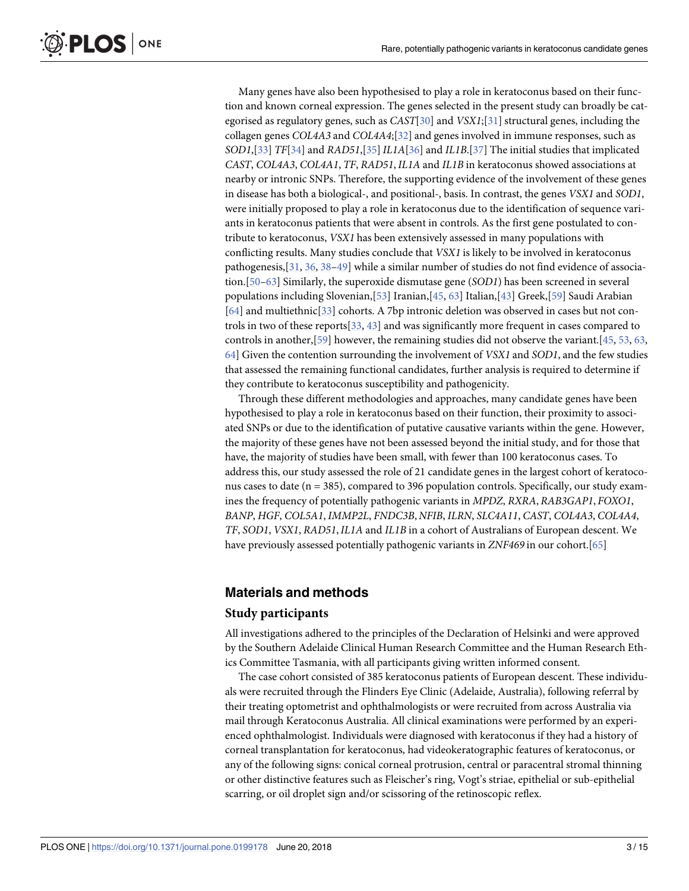Many genes have also been hypothesised to play a role in keratoconus based on their function and known corneal expression. The genes selected in the present study can broadly be categorised as regulatory genes, such as *CAST*[[30\]](#page-11-0) and *VSX1*;[\[31](#page-11-0)] structural genes, including the collagen genes *COL4A3* and *COL4A4*;[\[32](#page-11-0)] and genes involved in immune responses, such as *SOD1*,[\[33](#page-11-0)] *TF*[\[34\]](#page-11-0) and *RAD51*,[\[35](#page-11-0)]*IL1A*[\[36](#page-11-0)] and *IL1B*.[\[37\]](#page-11-0) The initial studies that implicated *CAST*, *COL4A3*, *COL4A1*, *TF*, *RAD51*,*IL1A* and *IL1B* in keratoconus showed associations at nearby or intronic SNPs. Therefore, the supporting evidence of the involvement of these genes in disease has both a biological-, and positional-, basis. In contrast, the genes *VSX1* and *SOD1*, were initially proposed to play a role in keratoconus due to the identification of sequence variants in keratoconus patients that were absent in controls. As the first gene postulated to con-

tribute to keratoconus, *VSX1* has been extensively assessed in many populations with conflicting results. Many studies conclude that *VSX1* is likely to be involved in keratoconus pathogenesis,[[31,](#page-11-0) [36](#page-11-0), [38](#page-11-0)–[49](#page-12-0)] while a similar number of studies do not find evidence of association.[[50](#page-12-0)–[63\]](#page-12-0) Similarly, the superoxide dismutase gene (*SOD1*) has been screened in several populations including Slovenian,[[53](#page-12-0)] Iranian,[[45](#page-11-0), [63](#page-12-0)] Italian,[\[43\]](#page-11-0) Greek,[\[59\]](#page-12-0) Saudi Arabian [\[64\]](#page-13-0) and multiethnic[[33](#page-11-0)] cohorts. A 7bp intronic deletion was observed in cases but not controls in two of these reports[\[33,](#page-11-0) [43\]](#page-11-0) and was significantly more frequent in cases compared to controls in another,[[59](#page-12-0)] however, the remaining studies did not observe the variant.[[45](#page-11-0), [53](#page-12-0), [63](#page-12-0), [64\]](#page-13-0) Given the contention surrounding the involvement of *VSX1* and *SOD1*, and the few studies that assessed the remaining functional candidates, further analysis is required to determine if they contribute to keratoconus susceptibility and pathogenicity.

Through these different methodologies and approaches, many candidate genes have been hypothesised to play a role in keratoconus based on their function, their proximity to associated SNPs or due to the identification of putative causative variants within the gene. However, the majority of these genes have not been assessed beyond the initial study, and for those that have, the majority of studies have been small, with fewer than 100 keratoconus cases. To address this, our study assessed the role of 21 candidate genes in the largest cohort of keratoconus cases to date (n = 385), compared to 396 population controls. Specifically, our study examines the frequency of potentially pathogenic variants in *MPDZ*, *RXRA*, *RAB3GAP1*, *FOXO1*, *BANP*, *HGF*, *COL5A1*, *IMMP2L*, *FNDC3B*, *NFIB*, *ILRN*, *SLC4A11*, *CAST*, *COL4A3*, *COL4A4*, *TF*, *SOD1*, *VSX1*, *RAD51*,*IL1A* and *IL1B* in a cohort of Australians of European descent. We have previously assessed potentially pathogenic variants in *ZNF469* in our cohort.[[65](#page-13-0)]

#### **Materials and methods**

#### **Study participants**

All investigations adhered to the principles of the Declaration of Helsinki and were approved by the Southern Adelaide Clinical Human Research Committee and the Human Research Ethics Committee Tasmania, with all participants giving written informed consent.

The case cohort consisted of 385 keratoconus patients of European descent. These individuals were recruited through the Flinders Eye Clinic (Adelaide, Australia), following referral by their treating optometrist and ophthalmologists or were recruited from across Australia via mail through Keratoconus Australia. All clinical examinations were performed by an experienced ophthalmologist. Individuals were diagnosed with keratoconus if they had a history of corneal transplantation for keratoconus, had videokeratographic features of keratoconus, or any of the following signs: conical corneal protrusion, central or paracentral stromal thinning or other distinctive features such as Fleischer's ring, Vogt's striae, epithelial or sub-epithelial scarring, or oil droplet sign and/or scissoring of the retinoscopic reflex.

<span id="page-2-0"></span>PLOS ONE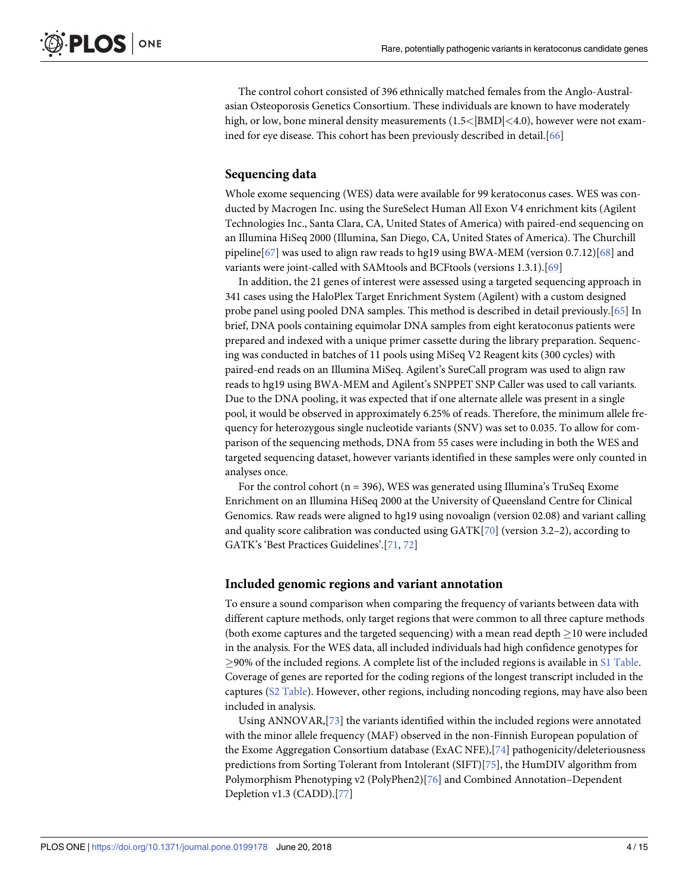<span id="page-3-0"></span>The control cohort consisted of 396 ethnically matched females from the Anglo-Australasian Osteoporosis Genetics Consortium. These individuals are known to have moderately high, or low, bone mineral density measurements (1.5*<*|BMD|*<*4.0), however were not examined for eye disease. This cohort has been previously described in detail.[\[66\]](#page-13-0)

#### **Sequencing data**

Whole exome sequencing (WES) data were available for 99 keratoconus cases. WES was conducted by Macrogen Inc. using the SureSelect Human All Exon V4 enrichment kits (Agilent Technologies Inc., Santa Clara, CA, United States of America) with paired-end sequencing on an Illumina HiSeq 2000 (Illumina, San Diego, CA, United States of America). The Churchill pipeline[[67\]](#page-13-0) was used to align raw reads to hg19 using BWA-MEM (version 0.7.12)[\[68\]](#page-13-0) and variants were joint-called with SAMtools and BCFtools (versions 1.3.1).[\[69\]](#page-13-0)

In addition, the 21 genes of interest were assessed using a targeted sequencing approach in 341 cases using the HaloPlex Target Enrichment System (Agilent) with a custom designed probe panel using pooled DNA samples. This method is described in detail previously.[\[65\]](#page-13-0) In brief, DNA pools containing equimolar DNA samples from eight keratoconus patients were prepared and indexed with a unique primer cassette during the library preparation. Sequencing was conducted in batches of 11 pools using MiSeq V2 Reagent kits (300 cycles) with paired-end reads on an Illumina MiSeq. Agilent's SureCall program was used to align raw reads to hg19 using BWA-MEM and Agilent's SNPPET SNP Caller was used to call variants. Due to the DNA pooling, it was expected that if one alternate allele was present in a single pool, it would be observed in approximately 6.25% of reads. Therefore, the minimum allele frequency for heterozygous single nucleotide variants (SNV) was set to 0.035. To allow for comparison of the sequencing methods, DNA from 55 cases were including in both the WES and targeted sequencing dataset, however variants identified in these samples were only counted in analyses once.

For the control cohort ( $n = 396$ ), WES was generated using Illumina's TruSeq Exome Enrichment on an Illumina HiSeq 2000 at the University of Queensland Centre for Clinical Genomics. Raw reads were aligned to hg19 using novoalign (version 02.08) and variant calling and quality score calibration was conducted using GATK[[70\]](#page-13-0) (version 3.2–2), according to GATK's 'Best Practices Guidelines'.[[71,](#page-13-0) [72](#page-13-0)]

#### **Included genomic regions and variant annotation**

To ensure a sound comparison when comparing the frequency of variants between data with different capture methods, only target regions that were common to all three capture methods (both exome captures and the targeted sequencing) with a mean read depth  $\geq$ 10 were included in the analysis. For the WES data, all included individuals had high confidence genotypes for  $\geq$ 90% of the included regions. A complete list of the included regions is available in S1 [Table.](#page-8-0) Coverage of genes are reported for the coding regions of the longest transcript included in the captures (S2 [Table](#page-8-0)). However, other regions, including noncoding regions, may have also been included in analysis.

Using ANNOVAR,[[73](#page-13-0)] the variants identified within the included regions were annotated with the minor allele frequency (MAF) observed in the non-Finnish European population of the Exome Aggregation Consortium database (ExAC NFE),[\[74\]](#page-13-0) pathogenicity/deleteriousness predictions from Sorting Tolerant from Intolerant (SIFT)[[75](#page-13-0)], the HumDIV algorithm from Polymorphism Phenotyping v2 (PolyPhen2)[[76](#page-13-0)] and Combined Annotation–Dependent Depletion v1.3 (CADD).[[77\]](#page-13-0)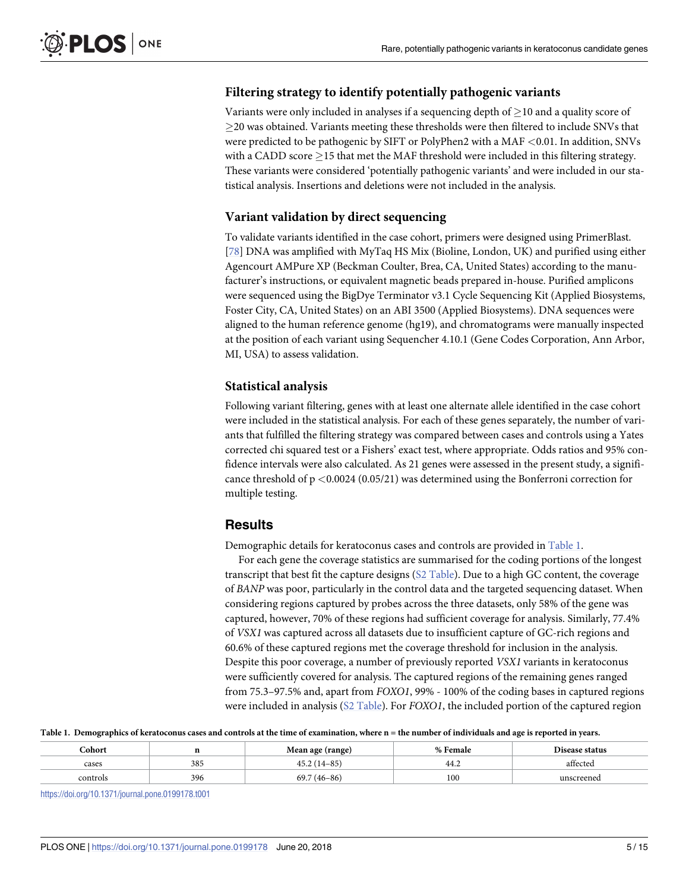## <span id="page-4-0"></span>**Filtering strategy to identify potentially pathogenic variants**

Variants were only included in analyses if a sequencing depth of  $\geq$  10 and a quality score of  $\geq$ 20 was obtained. Variants meeting these thresholds were then filtered to include SNVs that were predicted to be pathogenic by SIFT or PolyPhen2 with a MAF *<*0.01. In addition, SNVs with a CADD score  $>$ 15 that met the MAF threshold were included in this filtering strategy. These variants were considered 'potentially pathogenic variants' and were included in our statistical analysis. Insertions and deletions were not included in the analysis.

### **Variant validation by direct sequencing**

To validate variants identified in the case cohort, primers were designed using PrimerBlast. [\[78\]](#page-13-0) DNA was amplified with MyTaq HS Mix (Bioline, London, UK) and purified using either Agencourt AMPure XP (Beckman Coulter, Brea, CA, United States) according to the manufacturer's instructions, or equivalent magnetic beads prepared in-house. Purified amplicons were sequenced using the BigDye Terminator v3.1 Cycle Sequencing Kit (Applied Biosystems, Foster City, CA, United States) on an ABI 3500 (Applied Biosystems). DNA sequences were aligned to the human reference genome (hg19), and chromatograms were manually inspected at the position of each variant using Sequencher 4.10.1 (Gene Codes Corporation, Ann Arbor, MI, USA) to assess validation.

## **Statistical analysis**

Following variant filtering, genes with at least one alternate allele identified in the case cohort were included in the statistical analysis. For each of these genes separately, the number of variants that fulfilled the filtering strategy was compared between cases and controls using a Yates corrected chi squared test or a Fishers' exact test, where appropriate. Odds ratios and 95% confidence intervals were also calculated. As 21 genes were assessed in the present study, a significance threshold of p *<*0.0024 (0.05/21) was determined using the Bonferroni correction for multiple testing.

## **Results**

Demographic details for keratoconus cases and controls are provided in Table 1.

For each gene the coverage statistics are summarised for the coding portions of the longest transcript that best fit the capture designs (S2 [Table\)](#page-8-0). Due to a high GC content, the coverage of *BANP* was poor, particularly in the control data and the targeted sequencing dataset. When considering regions captured by probes across the three datasets, only 58% of the gene was captured, however, 70% of these regions had sufficient coverage for analysis. Similarly, 77.4% of *VSX1* was captured across all datasets due to insufficient capture of GC-rich regions and 60.6% of these captured regions met the coverage threshold for inclusion in the analysis. Despite this poor coverage, a number of previously reported *VSX1* variants in keratoconus were sufficiently covered for analysis. The captured regions of the remaining genes ranged from 75.3–97.5% and, apart from *FOXO1*, 99% - 100% of the coding bases in captured regions were included in analysis (S2 [Table](#page-8-0)). For *FOXO1*, the included portion of the captured region

#### Table 1. Demographics of keratoconus cases and controls at the time of examination, where n = the number of individuals and age is reported in years.

| <b>Cohort</b> |     | Mean age (range) | % Female | Disease status |  |
|---------------|-----|------------------|----------|----------------|--|
| cases         | 385 | $45.2(14-85)$    | -44.2    | affected       |  |
| controls      | 396 | $69.7(46-86)$    | 100      | unscreened     |  |

<https://doi.org/10.1371/journal.pone.0199178.t001>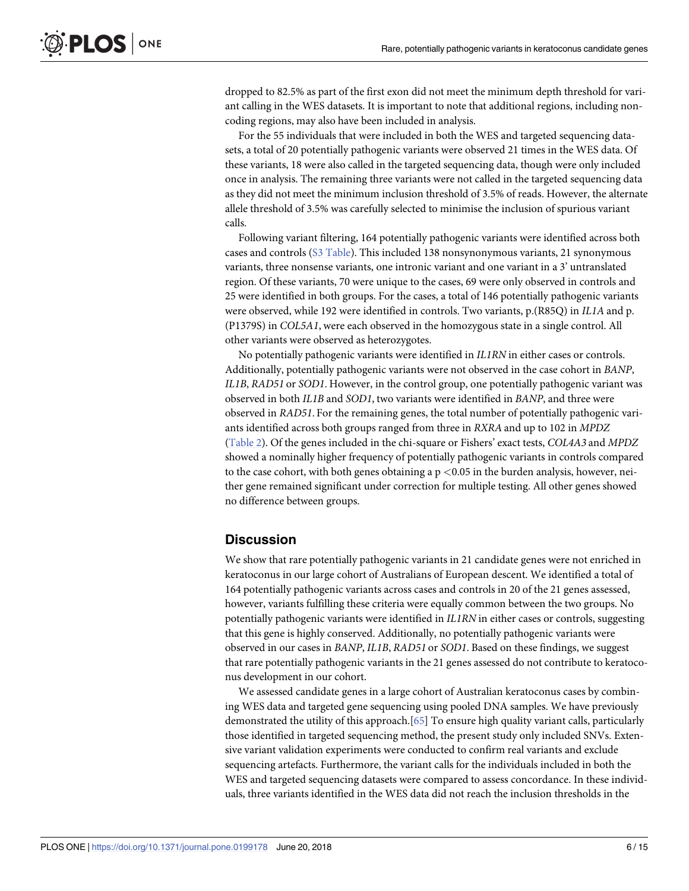<span id="page-5-0"></span>dropped to 82.5% as part of the first exon did not meet the minimum depth threshold for variant calling in the WES datasets. It is important to note that additional regions, including noncoding regions, may also have been included in analysis.

For the 55 individuals that were included in both the WES and targeted sequencing datasets, a total of 20 potentially pathogenic variants were observed 21 times in the WES data. Of these variants, 18 were also called in the targeted sequencing data, though were only included once in analysis. The remaining three variants were not called in the targeted sequencing data as they did not meet the minimum inclusion threshold of 3.5% of reads. However, the alternate allele threshold of 3.5% was carefully selected to minimise the inclusion of spurious variant calls.

Following variant filtering, 164 potentially pathogenic variants were identified across both cases and controls (S3 [Table\)](#page-8-0). This included 138 nonsynonymous variants, 21 synonymous variants, three nonsense variants, one intronic variant and one variant in a 3' untranslated region. Of these variants, 70 were unique to the cases, 69 were only observed in controls and 25 were identified in both groups. For the cases, a total of 146 potentially pathogenic variants were observed, while 192 were identified in controls. Two variants, p.(R85Q) in *IL1A* and p. (P1379S) in *COL5A1*, were each observed in the homozygous state in a single control. All other variants were observed as heterozygotes.

No potentially pathogenic variants were identified in *IL1RN* in either cases or controls. Additionally, potentially pathogenic variants were not observed in the case cohort in *BANP*, *IL1B*, *RAD51* or *SOD1*. However, in the control group, one potentially pathogenic variant was observed in both *IL1B* and *SOD1*, two variants were identified in *BANP*, and three were observed in *RAD51*. For the remaining genes, the total number of potentially pathogenic variants identified across both groups ranged from three in *RXRA* and up to 102 in *MPDZ* [\(Table](#page-6-0) 2). Of the genes included in the chi-square or Fishers' exact tests, *COL4A3* and *MPDZ* showed a nominally higher frequency of potentially pathogenic variants in controls compared to the case cohort, with both genes obtaining a p *<*0.05 in the burden analysis, however, neither gene remained significant under correction for multiple testing. All other genes showed no difference between groups.

#### **Discussion**

We show that rare potentially pathogenic variants in 21 candidate genes were not enriched in keratoconus in our large cohort of Australians of European descent. We identified a total of 164 potentially pathogenic variants across cases and controls in 20 of the 21 genes assessed, however, variants fulfilling these criteria were equally common between the two groups. No potentially pathogenic variants were identified in *IL1RN* in either cases or controls, suggesting that this gene is highly conserved. Additionally, no potentially pathogenic variants were observed in our cases in *BANP*, *IL1B*, *RAD51* or *SOD1*. Based on these findings, we suggest that rare potentially pathogenic variants in the 21 genes assessed do not contribute to keratoconus development in our cohort.

We assessed candidate genes in a large cohort of Australian keratoconus cases by combining WES data and targeted gene sequencing using pooled DNA samples. We have previously demonstrated the utility of this approach.[[65](#page-13-0)] To ensure high quality variant calls, particularly those identified in targeted sequencing method, the present study only included SNVs. Extensive variant validation experiments were conducted to confirm real variants and exclude sequencing artefacts. Furthermore, the variant calls for the individuals included in both the WES and targeted sequencing datasets were compared to assess concordance. In these individuals, three variants identified in the WES data did not reach the inclusion thresholds in the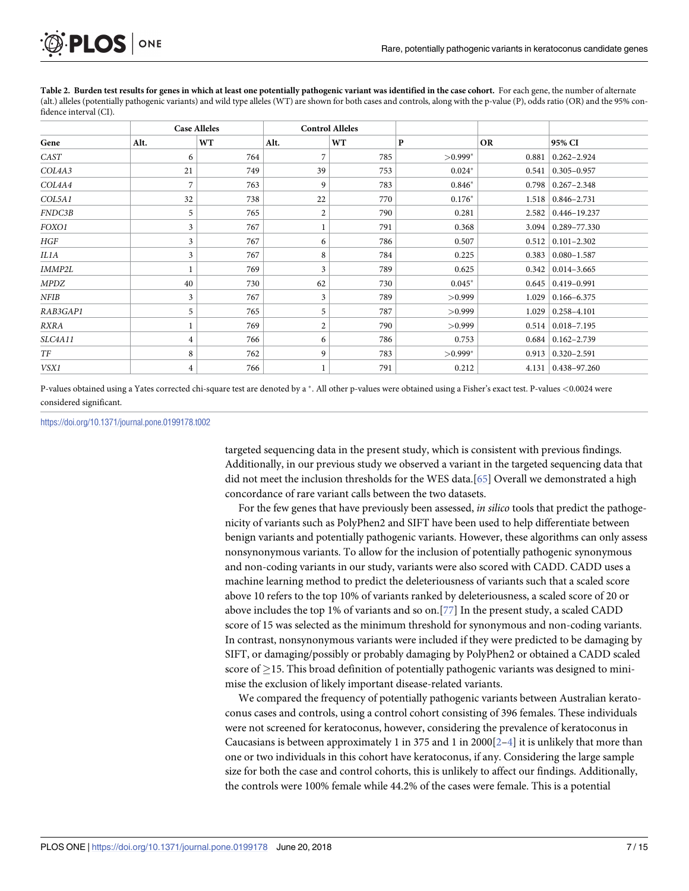<span id="page-6-0"></span>

[Table](#page-5-0) 2. Burden test results for genes in which at least one potentially pathogenic variant was identified in the case cohort. For each gene, the number of alternate (alt.) alleles (potentially pathogenic variants) and wild type alleles (WT) are shown for both cases and controls, along with the p-value (P), odds ratio (OR) and the 95% confidence interval (CI).

| <b>Case Alleles</b> |                |           | <b>Control Alleles</b> |     |           |           |                             |
|---------------------|----------------|-----------|------------------------|-----|-----------|-----------|-----------------------------|
| Gene                | Alt.           | <b>WT</b> | Alt.                   | WT  | $\bf P$   | <b>OR</b> | 95% CI                      |
| CAST                | 6              | 764       | 7                      | 785 | $>0.999*$ | 0.881     | $0.262 - 2.924$             |
| COL4A3              | 21             | 749       | 39                     | 753 | $0.024*$  | 0.541     | $ 0.305 - 0.957$            |
| COL4A4              | 7              | 763       | 9                      | 783 | $0.846*$  |           | $0.798 \mid 0.267 - 2.348$  |
| COL5A1              | 32             | 738       | 22                     | 770 | $0.176*$  |           | $1.518 \mid 0.846 - 2.731$  |
| FNDC3B              | 5              | 765       | $\boldsymbol{2}$       | 790 | 0.281     |           | $2.582 \mid 0.446 - 19.237$ |
| FOXO1               | 3              | 767       |                        | 791 | 0.368     | 3.094     | $ 0.289 - 77.330 $          |
| HGF                 | 3              | 767       | 6                      | 786 | 0.507     | 0.512     | $ 0.101 - 2.302$            |
| IL1A                | 3              | 767       | 8                      | 784 | 0.225     |           | $0.383 \mid 0.080 - 1.587$  |
| IMMP2L              | 1              | 769       | 3                      | 789 | 0.625     | 0.342     | $ 0.014 - 3.665$            |
| MPDZ                | 40             | 730       | 62                     | 730 | $0.045*$  |           | $0.645 \mid 0.419 - 0.991$  |
| NFIB                | 3              | 767       | 3                      | 789 | >0.999    | 1.029     | $ 0.166 - 6.375$            |
| RAB3GAP1            | 5              | 765       | 5                      | 787 | >0.999    | 1.029     | $ 0.258 - 4.101$            |
| RXRA                | $\mathbf{1}$   | 769       | 2                      | 790 | >0.999    |           | $0.514 \mid 0.018 - 7.195$  |
| SLC4A11             | $\overline{4}$ | 766       | 6                      | 786 | 0.753     |           | $0.684 \mid 0.162 - 2.739$  |
| TF                  | 8              | 762       | 9                      | 783 | $>0.999*$ |           | $0.913 \mid 0.320 - 2.591$  |
| VSX1                | $\overline{4}$ | 766       |                        | 791 | 0.212     |           | 4.131   0.438-97.260        |

P-values obtained using a Yates corrected chi-square test are denoted by a . All other p-values were obtained using a Fisher's exact test. P-values *<*0.0024 were considered significant.

<https://doi.org/10.1371/journal.pone.0199178.t002>

targeted sequencing data in the present study, which is consistent with previous findings. Additionally, in our previous study we observed a variant in the targeted sequencing data that did not meet the inclusion thresholds for the WES data.[\[65\]](#page-13-0) Overall we demonstrated a high concordance of rare variant calls between the two datasets.

For the few genes that have previously been assessed, *in silico* tools that predict the pathogenicity of variants such as PolyPhen2 and SIFT have been used to help differentiate between benign variants and potentially pathogenic variants. However, these algorithms can only assess nonsynonymous variants. To allow for the inclusion of potentially pathogenic synonymous and non-coding variants in our study, variants were also scored with CADD. CADD uses a machine learning method to predict the deleteriousness of variants such that a scaled score above 10 refers to the top 10% of variants ranked by deleteriousness, a scaled score of 20 or above includes the top 1% of variants and so on.[\[77](#page-13-0)] In the present study, a scaled CADD score of 15 was selected as the minimum threshold for synonymous and non-coding variants. In contrast, nonsynonymous variants were included if they were predicted to be damaging by SIFT, or damaging/possibly or probably damaging by PolyPhen2 or obtained a CADD scaled score of  $\geq$ 15. This broad definition of potentially pathogenic variants was designed to minimise the exclusion of likely important disease-related variants.

We compared the frequency of potentially pathogenic variants between Australian keratoconus cases and controls, using a control cohort consisting of 396 females. These individuals were not screened for keratoconus, however, considering the prevalence of keratoconus in Caucasians is between approximately 1 in 375 and 1 in 2000[\[2–4\]](#page-9-0) it is unlikely that more than one or two individuals in this cohort have keratoconus, if any. Considering the large sample size for both the case and control cohorts, this is unlikely to affect our findings. Additionally, the controls were 100% female while 44.2% of the cases were female. This is a potential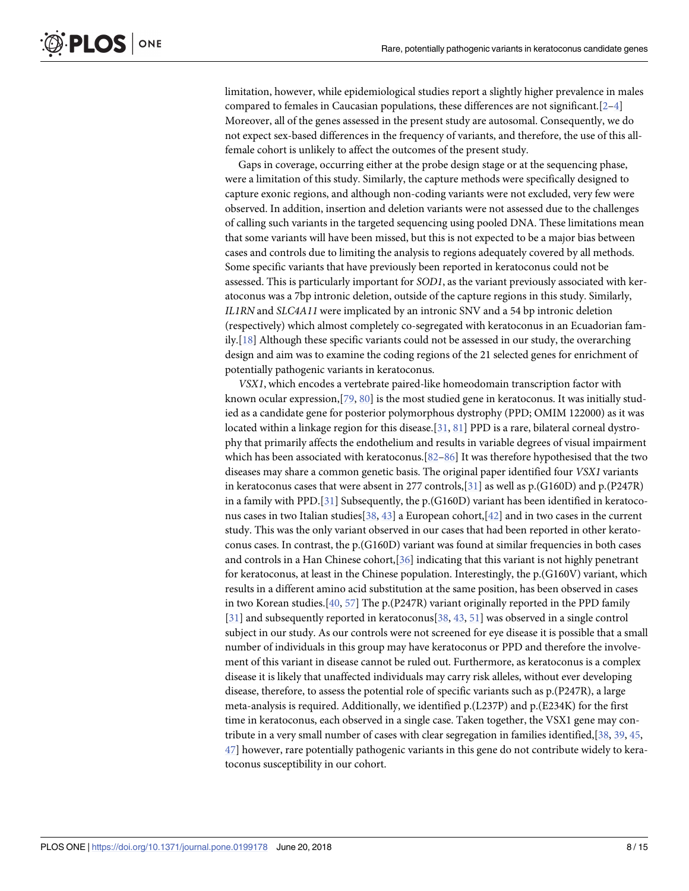<span id="page-7-0"></span>limitation, however, while epidemiological studies report a slightly higher prevalence in males compared to females in Caucasian populations, these differences are not significant.  $[2-4]$ Moreover, all of the genes assessed in the present study are autosomal. Consequently, we do not expect sex-based differences in the frequency of variants, and therefore, the use of this allfemale cohort is unlikely to affect the outcomes of the present study.

Gaps in coverage, occurring either at the probe design stage or at the sequencing phase, were a limitation of this study. Similarly, the capture methods were specifically designed to capture exonic regions, and although non-coding variants were not excluded, very few were observed. In addition, insertion and deletion variants were not assessed due to the challenges of calling such variants in the targeted sequencing using pooled DNA. These limitations mean that some variants will have been missed, but this is not expected to be a major bias between cases and controls due to limiting the analysis to regions adequately covered by all methods. Some specific variants that have previously been reported in keratoconus could not be assessed. This is particularly important for *SOD1*, as the variant previously associated with keratoconus was a 7bp intronic deletion, outside of the capture regions in this study. Similarly, *IL1RN* and *SLC4A11* were implicated by an intronic SNV and a 54 bp intronic deletion (respectively) which almost completely co-segregated with keratoconus in an Ecuadorian family.[\[18\]](#page-10-0) Although these specific variants could not be assessed in our study, the overarching design and aim was to examine the coding regions of the 21 selected genes for enrichment of potentially pathogenic variants in keratoconus.

*VSX1*, which encodes a vertebrate paired-like homeodomain transcription factor with known ocular expression,[\[79,](#page-13-0) [80\]](#page-13-0) is the most studied gene in keratoconus. It was initially studied as a candidate gene for posterior polymorphous dystrophy (PPD; OMIM 122000) as it was located within a linkage region for this disease.[ $31, 81$  $31, 81$  $31, 81$ ] PPD is a rare, bilateral corneal dystrophy that primarily affects the endothelium and results in variable degrees of visual impairment which has been associated with keratoconus.[\[82–86\]](#page-14-0) It was therefore hypothesised that the two diseases may share a common genetic basis. The original paper identified four *VSX1* variants in keratoconus cases that were absent in 277 controls,[[31](#page-11-0)] as well as p.(G160D) and p.(P247R) in a family with PPD.[\[31\]](#page-11-0) Subsequently, the  $p(G160D)$  variant has been identified in keratoconus cases in two Italian studies[\[38,](#page-11-0) [43\]](#page-11-0) a European cohort,[[42\]](#page-11-0) and in two cases in the current study. This was the only variant observed in our cases that had been reported in other keratoconus cases. In contrast, the p.(G160D) variant was found at similar frequencies in both cases and controls in a Han Chinese cohort,[\[36\]](#page-11-0) indicating that this variant is not highly penetrant for keratoconus, at least in the Chinese population. Interestingly, the p.(G160V) variant, which results in a different amino acid substitution at the same position, has been observed in cases in two Korean studies.[[40](#page-11-0), [57](#page-12-0)] The p.(P247R) variant originally reported in the PPD family [\[31\]](#page-11-0) and subsequently reported in keratoconus[\[38,](#page-11-0) [43,](#page-11-0) [51\]](#page-12-0) was observed in a single control subject in our study. As our controls were not screened for eye disease it is possible that a small number of individuals in this group may have keratoconus or PPD and therefore the involvement of this variant in disease cannot be ruled out. Furthermore, as keratoconus is a complex disease it is likely that unaffected individuals may carry risk alleles, without ever developing disease, therefore, to assess the potential role of specific variants such as p.(P247R), a large meta-analysis is required. Additionally, we identified p.(L237P) and p.(E234K) for the first time in keratoconus, each observed in a single case. Taken together, the VSX1 gene may contribute in a very small number of cases with clear segregation in families identified,[[38](#page-11-0), [39](#page-11-0), [45](#page-11-0), [47\]](#page-12-0) however, rare potentially pathogenic variants in this gene do not contribute widely to keratoconus susceptibility in our cohort.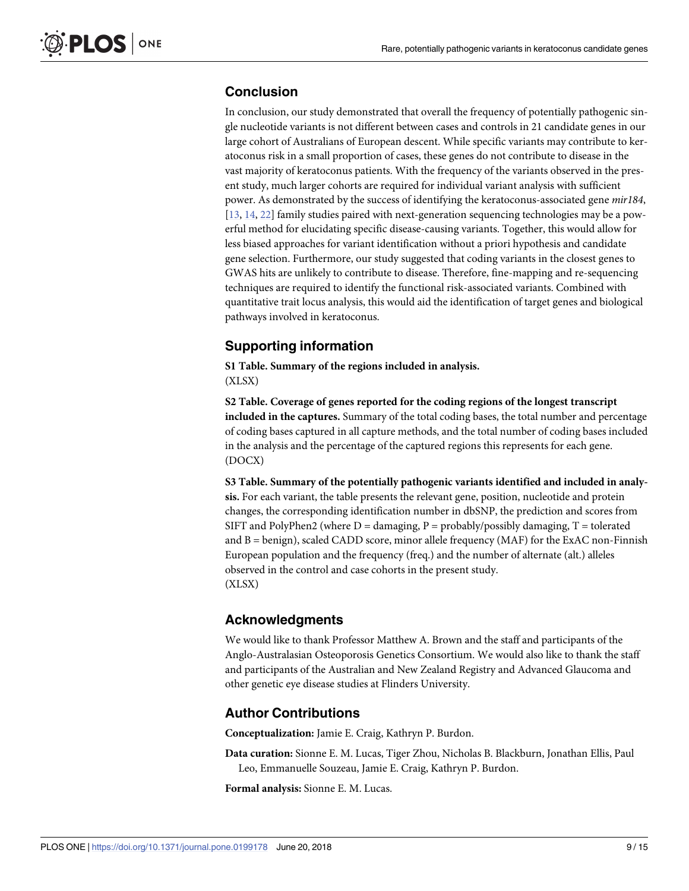## <span id="page-8-0"></span>**Conclusion**

In conclusion, our study demonstrated that overall the frequency of potentially pathogenic single nucleotide variants is not different between cases and controls in 21 candidate genes in our large cohort of Australians of European descent. While specific variants may contribute to keratoconus risk in a small proportion of cases, these genes do not contribute to disease in the vast majority of keratoconus patients. With the frequency of the variants observed in the present study, much larger cohorts are required for individual variant analysis with sufficient power. As demonstrated by the success of identifying the keratoconus-associated gene *mir184*, [\[13,](#page-10-0) [14,](#page-10-0) [22\]](#page-10-0) family studies paired with next-generation sequencing technologies may be a powerful method for elucidating specific disease-causing variants. Together, this would allow for less biased approaches for variant identification without a priori hypothesis and candidate gene selection. Furthermore, our study suggested that coding variants in the closest genes to GWAS hits are unlikely to contribute to disease. Therefore, fine-mapping and re-sequencing techniques are required to identify the functional risk-associated variants. Combined with quantitative trait locus analysis, this would aid the identification of target genes and biological pathways involved in keratoconus.

## **Supporting information**

**S1 [Table.](http://www.plosone.org/article/fetchSingleRepresentation.action?uri=info:doi/10.1371/journal.pone.0199178.s001) Summary of the regions included in analysis.** (XLSX)

**S2 [Table.](http://www.plosone.org/article/fetchSingleRepresentation.action?uri=info:doi/10.1371/journal.pone.0199178.s002) Coverage of genes reported for the coding regions of the longest transcript included in the captures.** Summary of the total coding bases, the total number and percentage of coding bases captured in all capture methods, and the total number of coding bases included in the analysis and the percentage of the captured regions this represents for each gene. (DOCX)

**S3 [Table.](http://www.plosone.org/article/fetchSingleRepresentation.action?uri=info:doi/10.1371/journal.pone.0199178.s003) Summary of the potentially pathogenic variants identified and included in analysis.** For each variant, the table presents the relevant gene, position, nucleotide and protein changes, the corresponding identification number in dbSNP, the prediction and scores from SIFT and PolyPhen2 (where  $D =$  damaging,  $P =$  probably/possibly damaging,  $T =$  tolerated and  $B = \{{benign}\}$ , scaled CADD score, minor allele frequency (MAF) for the ExAC non-Finnish European population and the frequency (freq.) and the number of alternate (alt.) alleles observed in the control and case cohorts in the present study. (XLSX)

## **Acknowledgments**

We would like to thank Professor Matthew A. Brown and the staff and participants of the Anglo-Australasian Osteoporosis Genetics Consortium. We would also like to thank the staff and participants of the Australian and New Zealand Registry and Advanced Glaucoma and other genetic eye disease studies at Flinders University.

## **Author Contributions**

**Conceptualization:** Jamie E. Craig, Kathryn P. Burdon.

**Data curation:** Sionne E. M. Lucas, Tiger Zhou, Nicholas B. Blackburn, Jonathan Ellis, Paul Leo, Emmanuelle Souzeau, Jamie E. Craig, Kathryn P. Burdon.

**Formal analysis:** Sionne E. M. Lucas.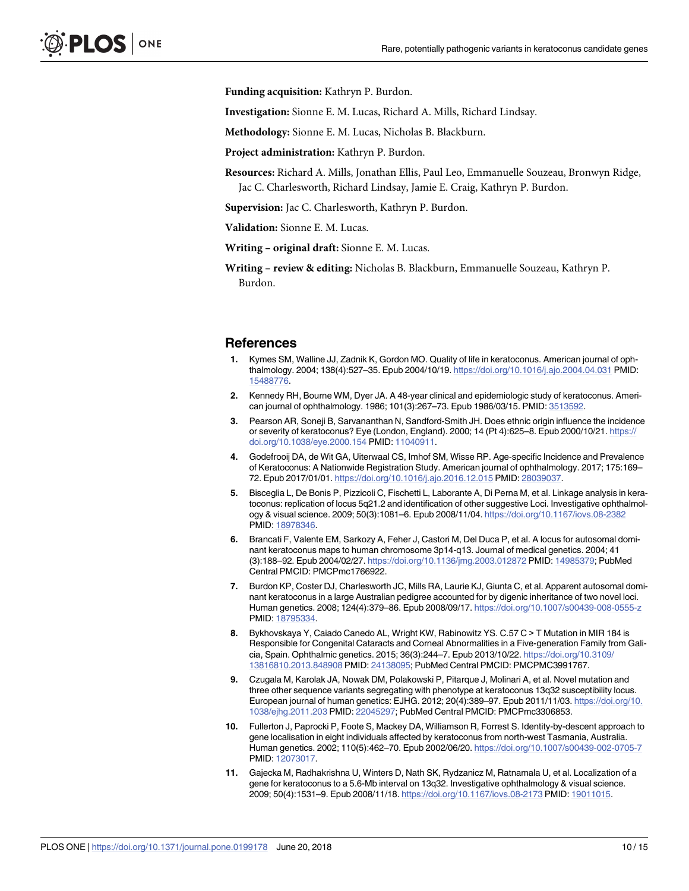<span id="page-9-0"></span>**Funding acquisition:** Kathryn P. Burdon.

**Investigation:** Sionne E. M. Lucas, Richard A. Mills, Richard Lindsay.

**Methodology:** Sionne E. M. Lucas, Nicholas B. Blackburn.

**Project administration:** Kathryn P. Burdon.

**Resources:** Richard A. Mills, Jonathan Ellis, Paul Leo, Emmanuelle Souzeau, Bronwyn Ridge, Jac C. Charlesworth, Richard Lindsay, Jamie E. Craig, Kathryn P. Burdon.

**Supervision:** Jac C. Charlesworth, Kathryn P. Burdon.

**Validation:** Sionne E. M. Lucas.

**Writing – original draft:** Sionne E. M. Lucas.

**Writing – review & editing:** Nicholas B. Blackburn, Emmanuelle Souzeau, Kathryn P. Burdon.

#### **References**

- **[1](#page-1-0).** Kymes SM, Walline JJ, Zadnik K, Gordon MO. Quality of life in keratoconus. American journal of ophthalmology. 2004; 138(4):527–35. Epub 2004/10/19. <https://doi.org/10.1016/j.ajo.2004.04.031> PMID: [15488776](http://www.ncbi.nlm.nih.gov/pubmed/15488776).
- **[2](#page-1-0).** Kennedy RH, Bourne WM, Dyer JA. A 48-year clinical and epidemiologic study of keratoconus. American journal of ophthalmology. 1986; 101(3):267–73. Epub 1986/03/15. PMID: [3513592.](http://www.ncbi.nlm.nih.gov/pubmed/3513592)
- **[3](#page-1-0).** Pearson AR, Soneji B, Sarvananthan N, Sandford-Smith JH. Does ethnic origin influence the incidence or severity of keratoconus? Eye (London, England). 2000; 14 (Pt 4):625–8. Epub 2000/10/21. [https://](https://doi.org/10.1038/eye.2000.154) [doi.org/10.1038/eye.2000.154](https://doi.org/10.1038/eye.2000.154) PMID: [11040911](http://www.ncbi.nlm.nih.gov/pubmed/11040911).
- **[4](#page-1-0).** Godefrooij DA, de Wit GA, Uiterwaal CS, Imhof SM, Wisse RP. Age-specific Incidence and Prevalence of Keratoconus: A Nationwide Registration Study. American journal of ophthalmology. 2017; 175:169– 72. Epub 2017/01/01. <https://doi.org/10.1016/j.ajo.2016.12.015> PMID: [28039037.](http://www.ncbi.nlm.nih.gov/pubmed/28039037)
- **[5](#page-1-0).** Bisceglia L, De Bonis P, Pizzicoli C, Fischetti L, Laborante A, Di Perna M, et al. Linkage analysis in keratoconus: replication of locus 5q21.2 and identification of other suggestive Loci. Investigative ophthalmology & visual science. 2009; 50(3):1081–6. Epub 2008/11/04. <https://doi.org/10.1167/iovs.08-2382> PMID: [18978346](http://www.ncbi.nlm.nih.gov/pubmed/18978346).
- **6.** Brancati F, Valente EM, Sarkozy A, Feher J, Castori M, Del Duca P, et al. A locus for autosomal dominant keratoconus maps to human chromosome 3p14-q13. Journal of medical genetics. 2004; 41 (3):188–92. Epub 2004/02/27. <https://doi.org/10.1136/jmg.2003.012872> PMID: [14985379](http://www.ncbi.nlm.nih.gov/pubmed/14985379); PubMed Central PMCID: PMCPmc1766922.
- **7.** Burdon KP, Coster DJ, Charlesworth JC, Mills RA, Laurie KJ, Giunta C, et al. Apparent autosomal dominant keratoconus in a large Australian pedigree accounted for by digenic inheritance of two novel loci. Human genetics. 2008; 124(4):379–86. Epub 2008/09/17. <https://doi.org/10.1007/s00439-008-0555-z> PMID: [18795334](http://www.ncbi.nlm.nih.gov/pubmed/18795334).
- **[8](#page-1-0).** Bykhovskaya Y, Caiado Canedo AL, Wright KW, Rabinowitz YS. C.57 C > T Mutation in MIR 184 is Responsible for Congenital Cataracts and Corneal Abnormalities in a Five-generation Family from Galicia, Spain. Ophthalmic genetics. 2015; 36(3):244–7. Epub 2013/10/22. [https://doi.org/10.3109/](https://doi.org/10.3109/13816810.2013.848908) [13816810.2013.848908](https://doi.org/10.3109/13816810.2013.848908) PMID: [24138095;](http://www.ncbi.nlm.nih.gov/pubmed/24138095) PubMed Central PMCID: PMCPMC3991767.
- **9.** Czugala M, Karolak JA, Nowak DM, Polakowski P, Pitarque J, Molinari A, et al. Novel mutation and three other sequence variants segregating with phenotype at keratoconus 13q32 susceptibility locus. European journal of human genetics: EJHG. 2012; 20(4):389–97. Epub 2011/11/03. [https://doi.org/10.](https://doi.org/10.1038/ejhg.2011.203) [1038/ejhg.2011.203](https://doi.org/10.1038/ejhg.2011.203) PMID: [22045297](http://www.ncbi.nlm.nih.gov/pubmed/22045297); PubMed Central PMCID: PMCPmc3306853.
- **10.** Fullerton J, Paprocki P, Foote S, Mackey DA, Williamson R, Forrest S. Identity-by-descent approach to gene localisation in eight individuals affected by keratoconus from north-west Tasmania, Australia. Human genetics. 2002; 110(5):462–70. Epub 2002/06/20. <https://doi.org/10.1007/s00439-002-0705-7> PMID: [12073017](http://www.ncbi.nlm.nih.gov/pubmed/12073017).
- **11.** Gajecka M, Radhakrishna U, Winters D, Nath SK, Rydzanicz M, Ratnamala U, et al. Localization of a gene for keratoconus to a 5.6-Mb interval on 13q32. Investigative ophthalmology & visual science. 2009; 50(4):1531–9. Epub 2008/11/18. <https://doi.org/10.1167/iovs.08-2173> PMID: [19011015.](http://www.ncbi.nlm.nih.gov/pubmed/19011015)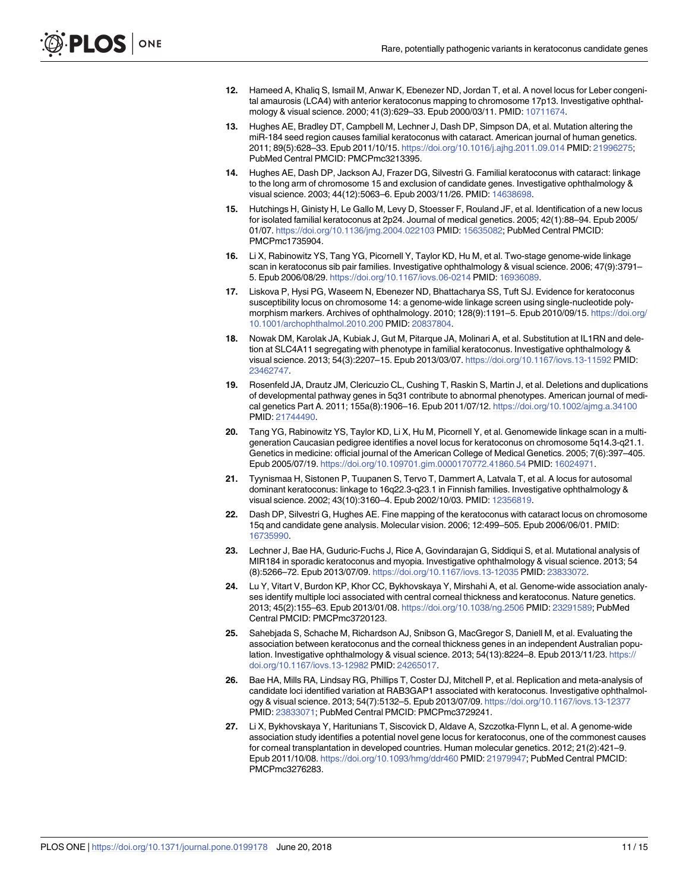- <span id="page-10-0"></span>**12.** Hameed A, Khaliq S, Ismail M, Anwar K, Ebenezer ND, Jordan T, et al. A novel locus for Leber congenital amaurosis (LCA4) with anterior keratoconus mapping to chromosome 17p13. Investigative ophthalmology & visual science. 2000; 41(3):629–33. Epub 2000/03/11. PMID: [10711674](http://www.ncbi.nlm.nih.gov/pubmed/10711674).
- **[13](#page-1-0).** Hughes AE, Bradley DT, Campbell M, Lechner J, Dash DP, Simpson DA, et al. Mutation altering the miR-184 seed region causes familial keratoconus with cataract. American journal of human genetics. 2011; 89(5):628–33. Epub 2011/10/15. <https://doi.org/10.1016/j.ajhg.2011.09.014> PMID: [21996275](http://www.ncbi.nlm.nih.gov/pubmed/21996275); PubMed Central PMCID: PMCPmc3213395.
- **[14](#page-1-0).** Hughes AE, Dash DP, Jackson AJ, Frazer DG, Silvestri G. Familial keratoconus with cataract: linkage to the long arm of chromosome 15 and exclusion of candidate genes. Investigative ophthalmology & visual science. 2003; 44(12):5063–6. Epub 2003/11/26. PMID: [14638698](http://www.ncbi.nlm.nih.gov/pubmed/14638698).
- **15.** Hutchings H, Ginisty H, Le Gallo M, Levy D, Stoesser F, Rouland JF, et al. Identification of a new locus for isolated familial keratoconus at 2p24. Journal of medical genetics. 2005; 42(1):88–94. Epub 2005/ 01/07. <https://doi.org/10.1136/jmg.2004.022103> PMID: [15635082;](http://www.ncbi.nlm.nih.gov/pubmed/15635082) PubMed Central PMCID: PMCPmc1735904.
- **[16](#page-1-0).** Li X, Rabinowitz YS, Tang YG, Picornell Y, Taylor KD, Hu M, et al. Two-stage genome-wide linkage scan in keratoconus sib pair families. Investigative ophthalmology & visual science. 2006; 47(9):3791– 5. Epub 2006/08/29. <https://doi.org/10.1167/iovs.06-0214> PMID: [16936089](http://www.ncbi.nlm.nih.gov/pubmed/16936089).
- **17.** Liskova P, Hysi PG, Waseem N, Ebenezer ND, Bhattacharya SS, Tuft SJ. Evidence for keratoconus susceptibility locus on chromosome 14: a genome-wide linkage screen using single-nucleotide polymorphism markers. Archives of ophthalmology. 2010; 128(9):1191–5. Epub 2010/09/15. [https://doi.org/](https://doi.org/10.1001/archophthalmol.2010.200) [10.1001/archophthalmol.2010.200](https://doi.org/10.1001/archophthalmol.2010.200) PMID: [20837804](http://www.ncbi.nlm.nih.gov/pubmed/20837804).
- **[18](#page-1-0).** Nowak DM, Karolak JA, Kubiak J, Gut M, Pitarque JA, Molinari A, et al. Substitution at IL1RN and deletion at SLC4A11 segregating with phenotype in familial keratoconus. Investigative ophthalmology & visual science. 2013; 54(3):2207–15. Epub 2013/03/07. <https://doi.org/10.1167/iovs.13-11592> PMID: [23462747](http://www.ncbi.nlm.nih.gov/pubmed/23462747).
- **[19](#page-1-0).** Rosenfeld JA, Drautz JM, Clericuzio CL, Cushing T, Raskin S, Martin J, et al. Deletions and duplications of developmental pathway genes in 5q31 contribute to abnormal phenotypes. American journal of medical genetics Part A. 2011; 155a(8):1906–16. Epub 2011/07/12. <https://doi.org/10.1002/ajmg.a.34100> PMID: [21744490](http://www.ncbi.nlm.nih.gov/pubmed/21744490).
- **[20](#page-1-0).** Tang YG, Rabinowitz YS, Taylor KD, Li X, Hu M, Picornell Y, et al. Genomewide linkage scan in a multigeneration Caucasian pedigree identifies a novel locus for keratoconus on chromosome 5q14.3-q21.1. Genetics in medicine: official journal of the American College of Medical Genetics. 2005; 7(6):397–405. Epub 2005/07/19. <https://doi.org/10.109701.gim.0000170772.41860.54> PMID: [16024971](http://www.ncbi.nlm.nih.gov/pubmed/16024971).
- **[21](#page-1-0).** Tyynismaa H, Sistonen P, Tuupanen S, Tervo T, Dammert A, Latvala T, et al. A locus for autosomal dominant keratoconus: linkage to 16q22.3-q23.1 in Finnish families. Investigative ophthalmology & visual science. 2002; 43(10):3160–4. Epub 2002/10/03. PMID: [12356819](http://www.ncbi.nlm.nih.gov/pubmed/12356819).
- **[22](#page-1-0).** Dash DP, Silvestri G, Hughes AE. Fine mapping of the keratoconus with cataract locus on chromosome 15q and candidate gene analysis. Molecular vision. 2006; 12:499–505. Epub 2006/06/01. PMID: [16735990](http://www.ncbi.nlm.nih.gov/pubmed/16735990).
- **[23](#page-1-0).** Lechner J, Bae HA, Guduric-Fuchs J, Rice A, Govindarajan G, Siddiqui S, et al. Mutational analysis of MIR184 in sporadic keratoconus and myopia. Investigative ophthalmology & visual science. 2013; 54 (8):5266–72. Epub 2013/07/09. <https://doi.org/10.1167/iovs.13-12035> PMID: [23833072](http://www.ncbi.nlm.nih.gov/pubmed/23833072).
- **[24](#page-1-0).** Lu Y, Vitart V, Burdon KP, Khor CC, Bykhovskaya Y, Mirshahi A, et al. Genome-wide association analyses identify multiple loci associated with central corneal thickness and keratoconus. Nature genetics. 2013; 45(2):155–63. Epub 2013/01/08. <https://doi.org/10.1038/ng.2506> PMID: [23291589](http://www.ncbi.nlm.nih.gov/pubmed/23291589); PubMed Central PMCID: PMCPmc3720123.
- **[25](#page-1-0).** Sahebjada S, Schache M, Richardson AJ, Snibson G, MacGregor S, Daniell M, et al. Evaluating the association between keratoconus and the corneal thickness genes in an independent Australian population. Investigative ophthalmology & visual science. 2013; 54(13):8224–8. Epub 2013/11/23. [https://](https://doi.org/10.1167/iovs.13-12982) [doi.org/10.1167/iovs.13-12982](https://doi.org/10.1167/iovs.13-12982) PMID: [24265017](http://www.ncbi.nlm.nih.gov/pubmed/24265017).
- **[26](#page-1-0).** Bae HA, Mills RA, Lindsay RG, Phillips T, Coster DJ, Mitchell P, et al. Replication and meta-analysis of candidate loci identified variation at RAB3GAP1 associated with keratoconus. Investigative ophthalmology & visual science. 2013; 54(7):5132–5. Epub 2013/07/09. <https://doi.org/10.1167/iovs.13-12377> PMID: [23833071](http://www.ncbi.nlm.nih.gov/pubmed/23833071); PubMed Central PMCID: PMCPmc3729241.
- **[27](#page-1-0).** Li X, Bykhovskaya Y, Haritunians T, Siscovick D, Aldave A, Szczotka-Flynn L, et al. A genome-wide association study identifies a potential novel gene locus for keratoconus, one of the commonest causes for corneal transplantation in developed countries. Human molecular genetics. 2012; 21(2):421–9. Epub 2011/10/08. <https://doi.org/10.1093/hmg/ddr460> PMID: [21979947;](http://www.ncbi.nlm.nih.gov/pubmed/21979947) PubMed Central PMCID: PMCPmc3276283.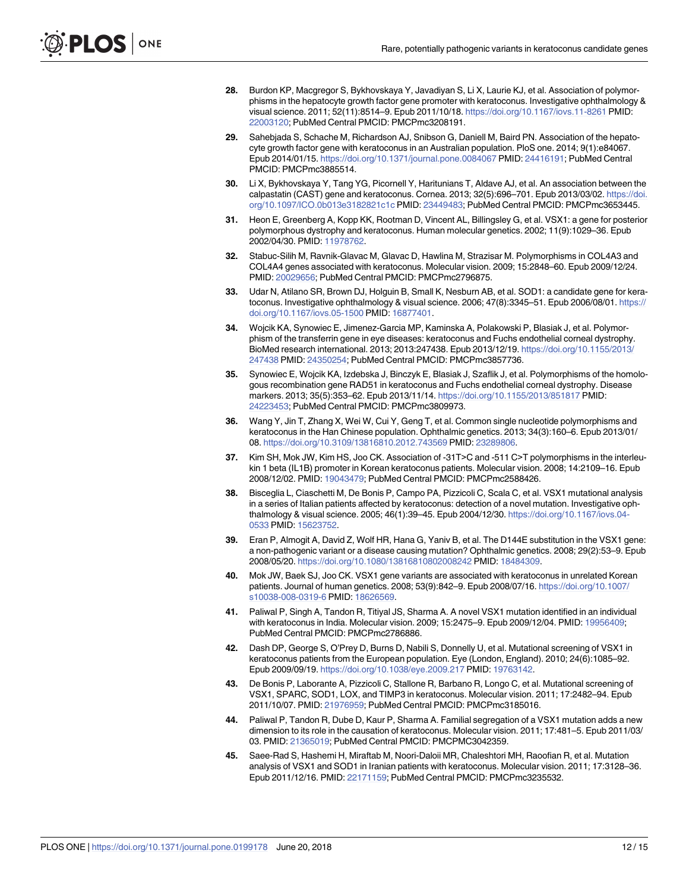- <span id="page-11-0"></span>**[28](#page-1-0).** Burdon KP, Macgregor S, Bykhovskaya Y, Javadiyan S, Li X, Laurie KJ, et al. Association of polymorphisms in the hepatocyte growth factor gene promoter with keratoconus. Investigative ophthalmology & visual science. 2011; 52(11):8514–9. Epub 2011/10/18. <https://doi.org/10.1167/iovs.11-8261> PMID: [22003120](http://www.ncbi.nlm.nih.gov/pubmed/22003120); PubMed Central PMCID: PMCPmc3208191.
- **[29](#page-1-0).** Sahebjada S, Schache M, Richardson AJ, Snibson G, Daniell M, Baird PN. Association of the hepatocyte growth factor gene with keratoconus in an Australian population. PloS one. 2014; 9(1):e84067. Epub 2014/01/15. <https://doi.org/10.1371/journal.pone.0084067> PMID: [24416191;](http://www.ncbi.nlm.nih.gov/pubmed/24416191) PubMed Central PMCID: PMCPmc3885514.
- **[30](#page-2-0).** Li X, Bykhovskaya Y, Tang YG, Picornell Y, Haritunians T, Aldave AJ, et al. An association between the calpastatin (CAST) gene and keratoconus. Cornea. 2013; 32(5):696–701. Epub 2013/03/02. [https://doi.](https://doi.org/10.1097/ICO.0b013e3182821c1c) [org/10.1097/ICO.0b013e3182821c1c](https://doi.org/10.1097/ICO.0b013e3182821c1c) PMID: [23449483](http://www.ncbi.nlm.nih.gov/pubmed/23449483); PubMed Central PMCID: PMCPmc3653445.
- **[31](#page-2-0).** Heon E, Greenberg A, Kopp KK, Rootman D, Vincent AL, Billingsley G, et al. VSX1: a gene for posterior polymorphous dystrophy and keratoconus. Human molecular genetics. 2002; 11(9):1029–36. Epub 2002/04/30. PMID: [11978762](http://www.ncbi.nlm.nih.gov/pubmed/11978762).
- **[32](#page-2-0).** Stabuc-Silih M, Ravnik-Glavac M, Glavac D, Hawlina M, Strazisar M. Polymorphisms in COL4A3 and COL4A4 genes associated with keratoconus. Molecular vision. 2009; 15:2848–60. Epub 2009/12/24. PMID: [20029656](http://www.ncbi.nlm.nih.gov/pubmed/20029656); PubMed Central PMCID: PMCPmc2796875.
- **[33](#page-2-0).** Udar N, Atilano SR, Brown DJ, Holguin B, Small K, Nesburn AB, et al. SOD1: a candidate gene for keratoconus. Investigative ophthalmology & visual science. 2006; 47(8):3345–51. Epub 2006/08/01. [https://](https://doi.org/10.1167/iovs.05-1500) [doi.org/10.1167/iovs.05-1500](https://doi.org/10.1167/iovs.05-1500) PMID: [16877401.](http://www.ncbi.nlm.nih.gov/pubmed/16877401)
- **[34](#page-2-0).** Wojcik KA, Synowiec E, Jimenez-Garcia MP, Kaminska A, Polakowski P, Blasiak J, et al. Polymorphism of the transferrin gene in eye diseases: keratoconus and Fuchs endothelial corneal dystrophy. BioMed research international. 2013; 2013:247438. Epub 2013/12/19. [https://doi.org/10.1155/2013/](https://doi.org/10.1155/2013/247438) [247438](https://doi.org/10.1155/2013/247438) PMID: [24350254](http://www.ncbi.nlm.nih.gov/pubmed/24350254); PubMed Central PMCID: PMCPmc3857736.
- **[35](#page-2-0).** Synowiec E, Wojcik KA, Izdebska J, Binczyk E, Blasiak J, Szaflik J, et al. Polymorphisms of the homologous recombination gene RAD51 in keratoconus and Fuchs endothelial corneal dystrophy. Disease markers. 2013; 35(5):353–62. Epub 2013/11/14. <https://doi.org/10.1155/2013/851817> PMID: [24223453](http://www.ncbi.nlm.nih.gov/pubmed/24223453); PubMed Central PMCID: PMCPmc3809973.
- **[36](#page-2-0).** Wang Y, Jin T, Zhang X, Wei W, Cui Y, Geng T, et al. Common single nucleotide polymorphisms and keratoconus in the Han Chinese population. Ophthalmic genetics. 2013; 34(3):160–6. Epub 2013/01/ 08. <https://doi.org/10.3109/13816810.2012.743569> PMID: [23289806.](http://www.ncbi.nlm.nih.gov/pubmed/23289806)
- **[37](#page-2-0).** Kim SH, Mok JW, Kim HS, Joo CK. Association of -31T>C and -511 C>T polymorphisms in the interleukin 1 beta (IL1B) promoter in Korean keratoconus patients. Molecular vision. 2008; 14:2109–16. Epub 2008/12/02. PMID: [19043479](http://www.ncbi.nlm.nih.gov/pubmed/19043479); PubMed Central PMCID: PMCPmc2588426.
- **[38](#page-2-0).** Bisceglia L, Ciaschetti M, De Bonis P, Campo PA, Pizzicoli C, Scala C, et al. VSX1 mutational analysis in a series of Italian patients affected by keratoconus: detection of a novel mutation. Investigative ophthalmology & visual science. 2005; 46(1):39–45. Epub 2004/12/30. [https://doi.org/10.1167/iovs.04-](https://doi.org/10.1167/iovs.04-0533) [0533](https://doi.org/10.1167/iovs.04-0533) PMID: [15623752](http://www.ncbi.nlm.nih.gov/pubmed/15623752).
- **[39](#page-7-0).** Eran P, Almogit A, David Z, Wolf HR, Hana G, Yaniv B, et al. The D144E substitution in the VSX1 gene: a non-pathogenic variant or a disease causing mutation? Ophthalmic genetics. 2008; 29(2):53–9. Epub 2008/05/20. <https://doi.org/10.1080/13816810802008242> PMID: [18484309.](http://www.ncbi.nlm.nih.gov/pubmed/18484309)
- **[40](#page-7-0).** Mok JW, Baek SJ, Joo CK. VSX1 gene variants are associated with keratoconus in unrelated Korean patients. Journal of human genetics. 2008; 53(9):842–9. Epub 2008/07/16. [https://doi.org/10.1007/](https://doi.org/10.1007/s10038-008-0319-6) [s10038-008-0319-6](https://doi.org/10.1007/s10038-008-0319-6) PMID: [18626569](http://www.ncbi.nlm.nih.gov/pubmed/18626569).
- **41.** Paliwal P, Singh A, Tandon R, Titiyal JS, Sharma A. A novel VSX1 mutation identified in an individual with keratoconus in India. Molecular vision. 2009; 15:2475–9. Epub 2009/12/04. PMID: [19956409;](http://www.ncbi.nlm.nih.gov/pubmed/19956409) PubMed Central PMCID: PMCPmc2786886.
- **[42](#page-7-0).** Dash DP, George S, O'Prey D, Burns D, Nabili S, Donnelly U, et al. Mutational screening of VSX1 in keratoconus patients from the European population. Eye (London, England). 2010; 24(6):1085–92. Epub 2009/09/19. <https://doi.org/10.1038/eye.2009.217> PMID: [19763142](http://www.ncbi.nlm.nih.gov/pubmed/19763142).
- **[43](#page-2-0).** De Bonis P, Laborante A, Pizzicoli C, Stallone R, Barbano R, Longo C, et al. Mutational screening of VSX1, SPARC, SOD1, LOX, and TIMP3 in keratoconus. Molecular vision. 2011; 17:2482–94. Epub 2011/10/07. PMID: [21976959](http://www.ncbi.nlm.nih.gov/pubmed/21976959); PubMed Central PMCID: PMCPmc3185016.
- **44.** Paliwal P, Tandon R, Dube D, Kaur P, Sharma A. Familial segregation of a VSX1 mutation adds a new dimension to its role in the causation of keratoconus. Molecular vision. 2011; 17:481–5. Epub 2011/03/ 03. PMID: [21365019;](http://www.ncbi.nlm.nih.gov/pubmed/21365019) PubMed Central PMCID: PMCPMC3042359.
- **[45](#page-2-0).** Saee-Rad S, Hashemi H, Miraftab M, Noori-Daloii MR, Chaleshtori MH, Raoofian R, et al. Mutation analysis of VSX1 and SOD1 in Iranian patients with keratoconus. Molecular vision. 2011; 17:3128–36. Epub 2011/12/16. PMID: [22171159;](http://www.ncbi.nlm.nih.gov/pubmed/22171159) PubMed Central PMCID: PMCPmc3235532.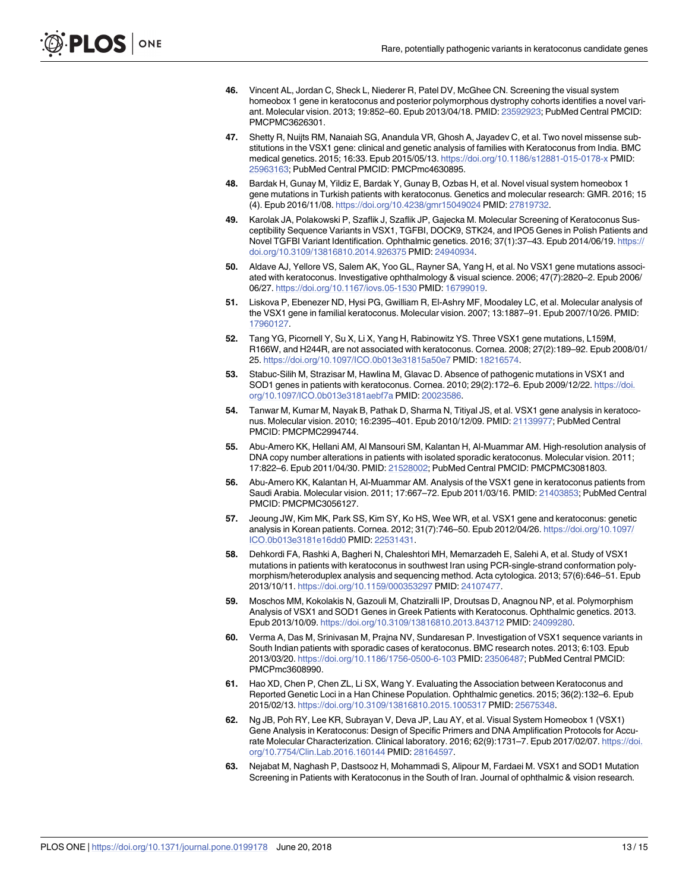- <span id="page-12-0"></span>**46.** Vincent AL, Jordan C, Sheck L, Niederer R, Patel DV, McGhee CN. Screening the visual system homeobox 1 gene in keratoconus and posterior polymorphous dystrophy cohorts identifies a novel variant. Molecular vision. 2013; 19:852–60. Epub 2013/04/18. PMID: [23592923;](http://www.ncbi.nlm.nih.gov/pubmed/23592923) PubMed Central PMCID: PMCPMC3626301.
- **[47](#page-7-0).** Shetty R, Nuijts RM, Nanaiah SG, Anandula VR, Ghosh A, Jayadev C, et al. Two novel missense substitutions in the VSX1 gene: clinical and genetic analysis of families with Keratoconus from India. BMC medical genetics. 2015; 16:33. Epub 2015/05/13. <https://doi.org/10.1186/s12881-015-0178-x> PMID: [25963163](http://www.ncbi.nlm.nih.gov/pubmed/25963163); PubMed Central PMCID: PMCPmc4630895.
- **48.** Bardak H, Gunay M, Yildiz E, Bardak Y, Gunay B, Ozbas H, et al. Novel visual system homeobox 1 gene mutations in Turkish patients with keratoconus. Genetics and molecular research: GMR. 2016; 15 (4). Epub 2016/11/08. <https://doi.org/10.4238/gmr15049024> PMID: [27819732.](http://www.ncbi.nlm.nih.gov/pubmed/27819732)
- **[49](#page-2-0).** Karolak JA, Polakowski P, Szaflik J, Szaflik JP, Gajecka M. Molecular Screening of Keratoconus Susceptibility Sequence Variants in VSX1, TGFBI, DOCK9, STK24, and IPO5 Genes in Polish Patients and Novel TGFBI Variant Identification. Ophthalmic genetics. 2016; 37(1):37–43. Epub 2014/06/19. [https://](https://doi.org/10.3109/13816810.2014.926375) [doi.org/10.3109/13816810.2014.926375](https://doi.org/10.3109/13816810.2014.926375) PMID: [24940934.](http://www.ncbi.nlm.nih.gov/pubmed/24940934)
- **[50](#page-2-0).** Aldave AJ, Yellore VS, Salem AK, Yoo GL, Rayner SA, Yang H, et al. No VSX1 gene mutations associated with keratoconus. Investigative ophthalmology & visual science. 2006; 47(7):2820–2. Epub 2006/ 06/27. <https://doi.org/10.1167/iovs.05-1530> PMID: [16799019](http://www.ncbi.nlm.nih.gov/pubmed/16799019).
- **[51](#page-7-0).** Liskova P, Ebenezer ND, Hysi PG, Gwilliam R, El-Ashry MF, Moodaley LC, et al. Molecular analysis of the VSX1 gene in familial keratoconus. Molecular vision. 2007; 13:1887–91. Epub 2007/10/26. PMID: [17960127](http://www.ncbi.nlm.nih.gov/pubmed/17960127).
- **52.** Tang YG, Picornell Y, Su X, Li X, Yang H, Rabinowitz YS. Three VSX1 gene mutations, L159M, R166W, and H244R, are not associated with keratoconus. Cornea. 2008; 27(2):189–92. Epub 2008/01/ 25. <https://doi.org/10.1097/ICO.0b013e31815a50e7> PMID: [18216574](http://www.ncbi.nlm.nih.gov/pubmed/18216574).
- **[53](#page-2-0).** Stabuc-Silih M, Strazisar M, Hawlina M, Glavac D. Absence of pathogenic mutations in VSX1 and SOD1 genes in patients with keratoconus. Cornea. 2010; 29(2):172–6. Epub 2009/12/22. [https://doi.](https://doi.org/10.1097/ICO.0b013e3181aebf7a) [org/10.1097/ICO.0b013e3181aebf7a](https://doi.org/10.1097/ICO.0b013e3181aebf7a) PMID: [20023586.](http://www.ncbi.nlm.nih.gov/pubmed/20023586)
- **54.** Tanwar M, Kumar M, Nayak B, Pathak D, Sharma N, Titiyal JS, et al. VSX1 gene analysis in keratoconus. Molecular vision. 2010; 16:2395–401. Epub 2010/12/09. PMID: [21139977](http://www.ncbi.nlm.nih.gov/pubmed/21139977); PubMed Central PMCID: PMCPMC2994744.
- **55.** Abu-Amero KK, Hellani AM, Al Mansouri SM, Kalantan H, Al-Muammar AM. High-resolution analysis of DNA copy number alterations in patients with isolated sporadic keratoconus. Molecular vision. 2011; 17:822–6. Epub 2011/04/30. PMID: [21528002](http://www.ncbi.nlm.nih.gov/pubmed/21528002); PubMed Central PMCID: PMCPMC3081803.
- **56.** Abu-Amero KK, Kalantan H, Al-Muammar AM. Analysis of the VSX1 gene in keratoconus patients from Saudi Arabia. Molecular vision. 2011; 17:667–72. Epub 2011/03/16. PMID: [21403853](http://www.ncbi.nlm.nih.gov/pubmed/21403853); PubMed Central PMCID: PMCPMC3056127.
- **[57](#page-7-0).** Jeoung JW, Kim MK, Park SS, Kim SY, Ko HS, Wee WR, et al. VSX1 gene and keratoconus: genetic analysis in Korean patients. Cornea. 2012; 31(7):746–50. Epub 2012/04/26. [https://doi.org/10.1097/](https://doi.org/10.1097/ICO.0b013e3181e16dd0) [ICO.0b013e3181e16dd0](https://doi.org/10.1097/ICO.0b013e3181e16dd0) PMID: [22531431](http://www.ncbi.nlm.nih.gov/pubmed/22531431).
- **58.** Dehkordi FA, Rashki A, Bagheri N, Chaleshtori MH, Memarzadeh E, Salehi A, et al. Study of VSX1 mutations in patients with keratoconus in southwest Iran using PCR-single-strand conformation polymorphism/heteroduplex analysis and sequencing method. Acta cytologica. 2013; 57(6):646–51. Epub 2013/10/11. <https://doi.org/10.1159/000353297> PMID: [24107477.](http://www.ncbi.nlm.nih.gov/pubmed/24107477)
- **[59](#page-2-0).** Moschos MM, Kokolakis N, Gazouli M, Chatziralli IP, Droutsas D, Anagnou NP, et al. Polymorphism Analysis of VSX1 and SOD1 Genes in Greek Patients with Keratoconus. Ophthalmic genetics. 2013. Epub 2013/10/09. <https://doi.org/10.3109/13816810.2013.843712> PMID: [24099280.](http://www.ncbi.nlm.nih.gov/pubmed/24099280)
- **60.** Verma A, Das M, Srinivasan M, Prajna NV, Sundaresan P. Investigation of VSX1 sequence variants in South Indian patients with sporadic cases of keratoconus. BMC research notes. 2013; 6:103. Epub 2013/03/20. <https://doi.org/10.1186/1756-0500-6-103> PMID: [23506487;](http://www.ncbi.nlm.nih.gov/pubmed/23506487) PubMed Central PMCID: PMCPmc3608990.
- **61.** Hao XD, Chen P, Chen ZL, Li SX, Wang Y. Evaluating the Association between Keratoconus and Reported Genetic Loci in a Han Chinese Population. Ophthalmic genetics. 2015; 36(2):132–6. Epub 2015/02/13. <https://doi.org/10.3109/13816810.2015.1005317> PMID: [25675348](http://www.ncbi.nlm.nih.gov/pubmed/25675348).
- **62.** Ng JB, Poh RY, Lee KR, Subrayan V, Deva JP, Lau AY, et al. Visual System Homeobox 1 (VSX1) Gene Analysis in Keratoconus: Design of Specific Primers and DNA Amplification Protocols for Accurate Molecular Characterization. Clinical laboratory. 2016; 62(9):1731–7. Epub 2017/02/07. [https://doi.](https://doi.org/10.7754/Clin.Lab.2016.160144) [org/10.7754/Clin.Lab.2016.160144](https://doi.org/10.7754/Clin.Lab.2016.160144) PMID: [28164597.](http://www.ncbi.nlm.nih.gov/pubmed/28164597)
- **[63](#page-2-0).** Nejabat M, Naghash P, Dastsooz H, Mohammadi S, Alipour M, Fardaei M. VSX1 and SOD1 Mutation Screening in Patients with Keratoconus in the South of Iran. Journal of ophthalmic & vision research.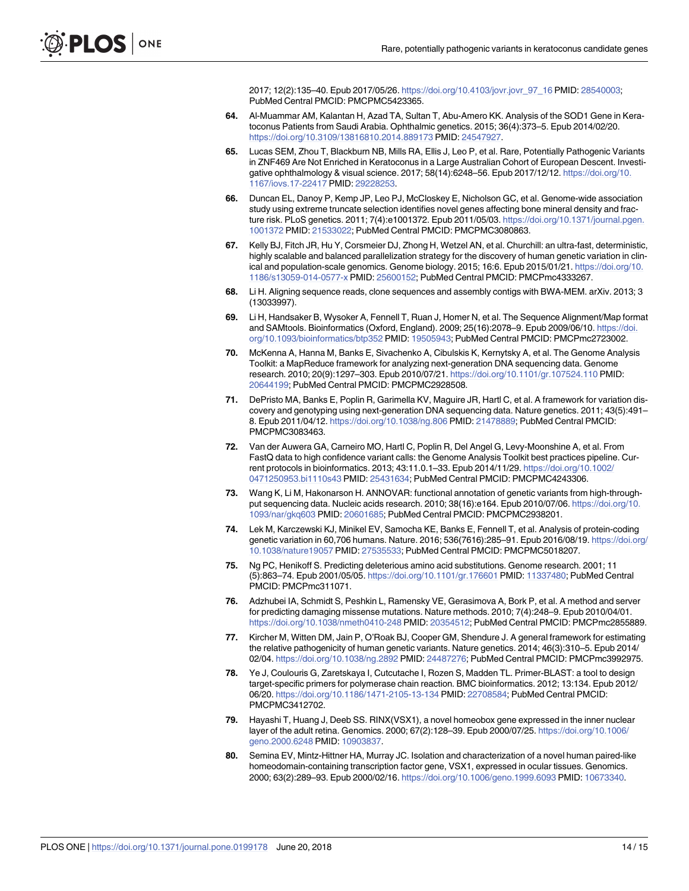2017; 12(2):135–40. Epub 2017/05/26. [https://doi.org/10.4103/jovr.jovr\\_97\\_16](https://doi.org/10.4103/jovr.jovr_97_16) PMID: [28540003](http://www.ncbi.nlm.nih.gov/pubmed/28540003); PubMed Central PMCID: PMCPMC5423365.

- <span id="page-13-0"></span>**[64](#page-2-0).** Al-Muammar AM, Kalantan H, Azad TA, Sultan T, Abu-Amero KK. Analysis of the SOD1 Gene in Keratoconus Patients from Saudi Arabia. Ophthalmic genetics. 2015; 36(4):373–5. Epub 2014/02/20. <https://doi.org/10.3109/13816810.2014.889173> PMID: [24547927](http://www.ncbi.nlm.nih.gov/pubmed/24547927).
- **[65](#page-2-0).** Lucas SEM, Zhou T, Blackburn NB, Mills RA, Ellis J, Leo P, et al. Rare, Potentially Pathogenic Variants in ZNF469 Are Not Enriched in Keratoconus in a Large Australian Cohort of European Descent. Investigative ophthalmology & visual science. 2017; 58(14):6248–56. Epub 2017/12/12. [https://doi.org/10.](https://doi.org/10.1167/iovs.17-22417) [1167/iovs.17-22417](https://doi.org/10.1167/iovs.17-22417) PMID: [29228253.](http://www.ncbi.nlm.nih.gov/pubmed/29228253)
- **[66](#page-3-0).** Duncan EL, Danoy P, Kemp JP, Leo PJ, McCloskey E, Nicholson GC, et al. Genome-wide association study using extreme truncate selection identifies novel genes affecting bone mineral density and fracture risk. PLoS genetics. 2011; 7(4):e1001372. Epub 2011/05/03. [https://doi.org/10.1371/journal.pgen.](https://doi.org/10.1371/journal.pgen.1001372) [1001372](https://doi.org/10.1371/journal.pgen.1001372) PMID: [21533022](http://www.ncbi.nlm.nih.gov/pubmed/21533022); PubMed Central PMCID: PMCPMC3080863.
- **[67](#page-3-0).** Kelly BJ, Fitch JR, Hu Y, Corsmeier DJ, Zhong H, Wetzel AN, et al. Churchill: an ultra-fast, deterministic, highly scalable and balanced parallelization strategy for the discovery of human genetic variation in clinical and population-scale genomics. Genome biology. 2015; 16:6. Epub 2015/01/21. [https://doi.org/10.](https://doi.org/10.1186/s13059-014-0577-x) [1186/s13059-014-0577-x](https://doi.org/10.1186/s13059-014-0577-x) PMID: [25600152;](http://www.ncbi.nlm.nih.gov/pubmed/25600152) PubMed Central PMCID: PMCPmc4333267.
- **[68](#page-3-0).** Li H. Aligning sequence reads, clone sequences and assembly contigs with BWA-MEM. arXiv. 2013; 3 (13033997).
- **[69](#page-3-0).** Li H, Handsaker B, Wysoker A, Fennell T, Ruan J, Homer N, et al. The Sequence Alignment/Map format and SAMtools. Bioinformatics (Oxford, England). 2009; 25(16):2078–9. Epub 2009/06/10. [https://doi.](https://doi.org/10.1093/bioinformatics/btp352) [org/10.1093/bioinformatics/btp352](https://doi.org/10.1093/bioinformatics/btp352) PMID: [19505943;](http://www.ncbi.nlm.nih.gov/pubmed/19505943) PubMed Central PMCID: PMCPmc2723002.
- **[70](#page-3-0).** McKenna A, Hanna M, Banks E, Sivachenko A, Cibulskis K, Kernytsky A, et al. The Genome Analysis Toolkit: a MapReduce framework for analyzing next-generation DNA sequencing data. Genome research. 2010; 20(9):1297–303. Epub 2010/07/21. <https://doi.org/10.1101/gr.107524.110> PMID: [20644199](http://www.ncbi.nlm.nih.gov/pubmed/20644199); PubMed Central PMCID: PMCPMC2928508.
- **[71](#page-3-0).** DePristo MA, Banks E, Poplin R, Garimella KV, Maguire JR, Hartl C, et al. A framework for variation discovery and genotyping using next-generation DNA sequencing data. Nature genetics. 2011; 43(5):491– 8. Epub 2011/04/12. <https://doi.org/10.1038/ng.806> PMID: [21478889](http://www.ncbi.nlm.nih.gov/pubmed/21478889); PubMed Central PMCID: PMCPMC3083463.
- **[72](#page-3-0).** Van der Auwera GA, Carneiro MO, Hartl C, Poplin R, Del Angel G, Levy-Moonshine A, et al. From FastQ data to high confidence variant calls: the Genome Analysis Toolkit best practices pipeline. Current protocols in bioinformatics. 2013; 43:11.0.1–33. Epub 2014/11/29. [https://doi.org/10.1002/](https://doi.org/10.1002/0471250953.bi1110s43) [0471250953.bi1110s43](https://doi.org/10.1002/0471250953.bi1110s43) PMID: [25431634;](http://www.ncbi.nlm.nih.gov/pubmed/25431634) PubMed Central PMCID: PMCPMC4243306.
- **[73](#page-3-0).** Wang K, Li M, Hakonarson H. ANNOVAR: functional annotation of genetic variants from high-throughput sequencing data. Nucleic acids research. 2010; 38(16):e164. Epub 2010/07/06. [https://doi.org/10.](https://doi.org/10.1093/nar/gkq603) [1093/nar/gkq603](https://doi.org/10.1093/nar/gkq603) PMID: [20601685;](http://www.ncbi.nlm.nih.gov/pubmed/20601685) PubMed Central PMCID: PMCPMC2938201.
- **[74](#page-3-0).** Lek M, Karczewski KJ, Minikel EV, Samocha KE, Banks E, Fennell T, et al. Analysis of protein-coding genetic variation in 60,706 humans. Nature. 2016; 536(7616):285–91. Epub 2016/08/19. [https://doi.org/](https://doi.org/10.1038/nature19057) [10.1038/nature19057](https://doi.org/10.1038/nature19057) PMID: [27535533;](http://www.ncbi.nlm.nih.gov/pubmed/27535533) PubMed Central PMCID: PMCPMC5018207.
- **[75](#page-3-0).** Ng PC, Henikoff S. Predicting deleterious amino acid substitutions. Genome research. 2001; 11 (5):863–74. Epub 2001/05/05. <https://doi.org/10.1101/gr.176601> PMID: [11337480](http://www.ncbi.nlm.nih.gov/pubmed/11337480); PubMed Central PMCID: PMCPmc311071.
- **[76](#page-3-0).** Adzhubei IA, Schmidt S, Peshkin L, Ramensky VE, Gerasimova A, Bork P, et al. A method and server for predicting damaging missense mutations. Nature methods. 2010; 7(4):248–9. Epub 2010/04/01. <https://doi.org/10.1038/nmeth0410-248> PMID: [20354512](http://www.ncbi.nlm.nih.gov/pubmed/20354512); PubMed Central PMCID: PMCPmc2855889.
- **[77](#page-3-0).** Kircher M, Witten DM, Jain P, O'Roak BJ, Cooper GM, Shendure J. A general framework for estimating the relative pathogenicity of human genetic variants. Nature genetics. 2014; 46(3):310–5. Epub 2014/ 02/04. <https://doi.org/10.1038/ng.2892> PMID: [24487276](http://www.ncbi.nlm.nih.gov/pubmed/24487276); PubMed Central PMCID: PMCPmc3992975.
- **[78](#page-4-0).** Ye J, Coulouris G, Zaretskaya I, Cutcutache I, Rozen S, Madden TL. Primer-BLAST: a tool to design target-specific primers for polymerase chain reaction. BMC bioinformatics. 2012; 13:134. Epub 2012/ 06/20. <https://doi.org/10.1186/1471-2105-13-134> PMID: [22708584;](http://www.ncbi.nlm.nih.gov/pubmed/22708584) PubMed Central PMCID: PMCPMC3412702.
- **[79](#page-7-0).** Hayashi T, Huang J, Deeb SS. RINX(VSX1), a novel homeobox gene expressed in the inner nuclear layer of the adult retina. Genomics. 2000; 67(2):128–39. Epub 2000/07/25. [https://doi.org/10.1006/](https://doi.org/10.1006/geno.2000.6248) [geno.2000.6248](https://doi.org/10.1006/geno.2000.6248) PMID: [10903837.](http://www.ncbi.nlm.nih.gov/pubmed/10903837)
- **[80](#page-7-0).** Semina EV, Mintz-Hittner HA, Murray JC. Isolation and characterization of a novel human paired-like homeodomain-containing transcription factor gene, VSX1, expressed in ocular tissues. Genomics. 2000; 63(2):289–93. Epub 2000/02/16. <https://doi.org/10.1006/geno.1999.6093> PMID: [10673340.](http://www.ncbi.nlm.nih.gov/pubmed/10673340)